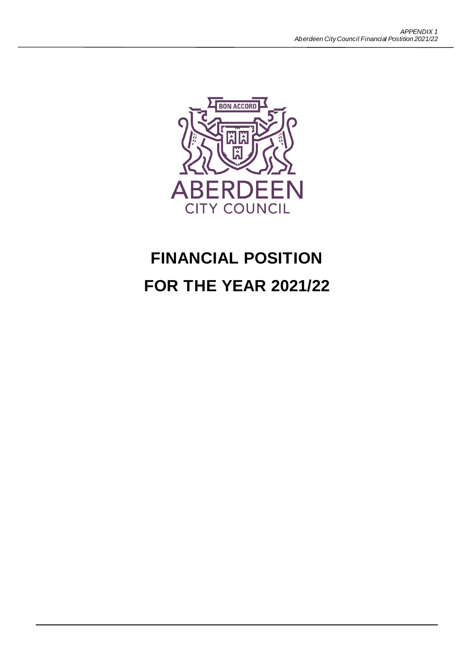

# **FINANCIAL POSITION FOR THE YEAR 2021/22**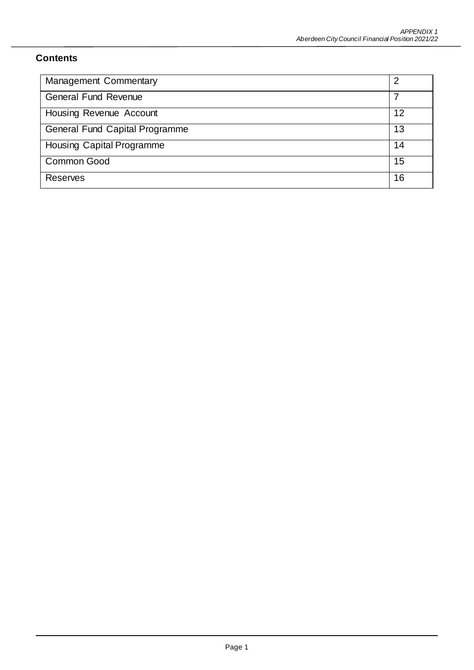# **Contents**

| <b>Management Commentary</b>     | 2  |
|----------------------------------|----|
| <b>General Fund Revenue</b>      |    |
| Housing Revenue Account          | 12 |
| General Fund Capital Programme   | 13 |
| <b>Housing Capital Programme</b> | 14 |
| <b>Common Good</b>               | 15 |
| <b>Reserves</b>                  | 16 |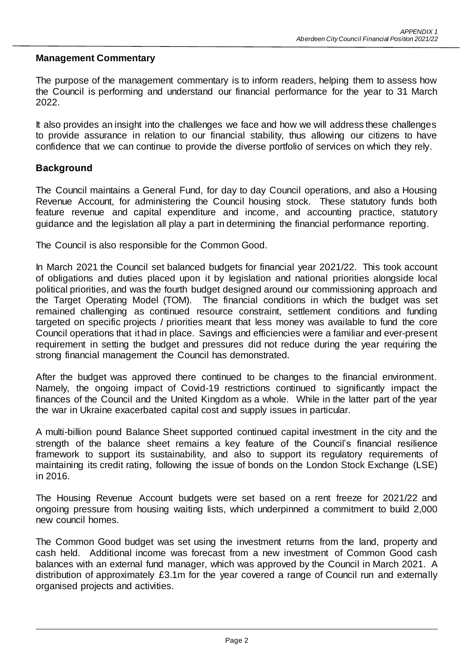#### **Management Commentary**

The purpose of the management commentary is to inform readers, helping them to assess how the Council is performing and understand our financial performance for the year to 31 March 2022.

It also provides an insight into the challenges we face and how we will address these challenges to provide assurance in relation to our financial stability, thus allowing our citizens to have confidence that we can continue to provide the diverse portfolio of services on which they rely.

#### **Background**

The Council maintains a General Fund, for day to day Council operations, and also a Housing Revenue Account, for administering the Council housing stock. These statutory funds both feature revenue and capital expenditure and income, and accounting practice, statutory guidance and the legislation all play a part in determining the financial performance reporting.

The Council is also responsible for the Common Good.

In March 2021 the Council set balanced budgets for financial year 2021/22. This took account of obligations and duties placed upon it by legislation and national priorities alongside local political priorities, and was the fourth budget designed around our commissioning approach and the Target Operating Model (TOM). The financial conditions in which the budget was set remained challenging as continued resource constraint, settlement conditions and funding targeted on specific projects / priorities meant that less money was available to fund the core Council operations that it had in place. Savings and efficiencies were a familiar and ever-present requirement in setting the budget and pressures did not reduce during the year requiring the strong financial management the Council has demonstrated.

After the budget was approved there continued to be changes to the financial environment. Namely, the ongoing impact of Covid-19 restrictions continued to significantly impact the finances of the Council and the United Kingdom as a whole. While in the latter part of the year the war in Ukraine exacerbated capital cost and supply issues in particular.

A multi-billion pound Balance Sheet supported continued capital investment in the city and the strength of the balance sheet remains a key feature of the Council's financial resilience framework to support its sustainability, and also to support its regulatory requirements of maintaining its credit rating, following the issue of bonds on the London Stock Exchange (LSE) in 2016.

The Housing Revenue Account budgets were set based on a rent freeze for 2021/22 and ongoing pressure from housing waiting lists, which underpinned a commitment to build 2,000 new council homes.

The Common Good budget was set using the investment returns from the land, property and cash held. Additional income was forecast from a new investment of Common Good cash balances with an external fund manager, which was approved by the Council in March 2021. A distribution of approximately £3.1m for the year covered a range of Council run and externally organised projects and activities.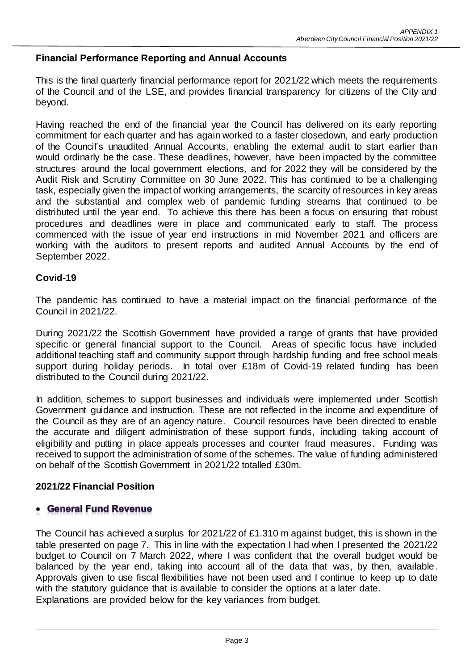## **Financial Performance Reporting and Annual Accounts**

This is the final quarterly financial performance report for 2021/22 which meets the requirements of the Council and of the LSE, and provides financial transparency for citizens of the City and beyond.

Having reached the end of the financial year the Council has delivered on its early reporting commitment for each quarter and has again worked to a faster closedown, and early production of the Council's unaudited Annual Accounts, enabling the external audit to start earlier than would ordinarly be the case. These deadlines, however, have been impacted by the committee structures around the local government elections, and for 2022 they will be considered by the Audit Risk and Scrutiny Committee on 30 June 2022. This has continued to be a challenging task, especially given the impact of working arrangements, the scarcity of resources in key areas and the substantial and complex web of pandemic funding streams that continued to be distributed until the year end. To achieve this there has been a focus on ensuring that robust procedures and deadlines were in place and communicated early to staff. The process commenced with the issue of year end instructions in mid November 2021 and officers are working with the auditors to present reports and audited Annual Accounts by the end of September 2022.

#### **Covid-19**

The pandemic has continued to have a material impact on the financial performance of the Council in 2021/22.

During 2021/22 the Scottish Government have provided a range of grants that have provided specific or general financial support to the Council. Areas of specific focus have included additional teaching staff and community support through hardship funding and free school meals support during holiday periods. In total over £18m of Covid-19 related funding has been distributed to the Council during 2021/22.

In addition, schemes to support businesses and individuals were implemented under Scottish Government guidance and instruction. These are not reflected in the income and expenditure of the Council as they are of an agency nature. Council resources have been directed to enable the accurate and diligent administration of these support funds, including taking account of eligibility and putting in place appeals processes and counter fraud measures. Funding was received to support the administration of some of the schemes. The value of funding administered on behalf of the Scottish Government in 2021/22 totalled £30m.

#### **2021/22 Financial Position**

#### **General Fund Revenue**

The Council has achieved a surplus for 2021/22 of £1.310 m against budget, this is shown in the table presented on page 7. This in line with the expectation I had when I presented the 2021/22 budget to Council on 7 March 2022, where I was confident that the overall budget would be balanced by the year end, taking into account all of the data that was, by then, available. Approvals given to use fiscal flexibilities have not been used and I continue to keep up to date with the statutory guidance that is available to consider the options at a later date. Explanations are provided below for the key variances from budget.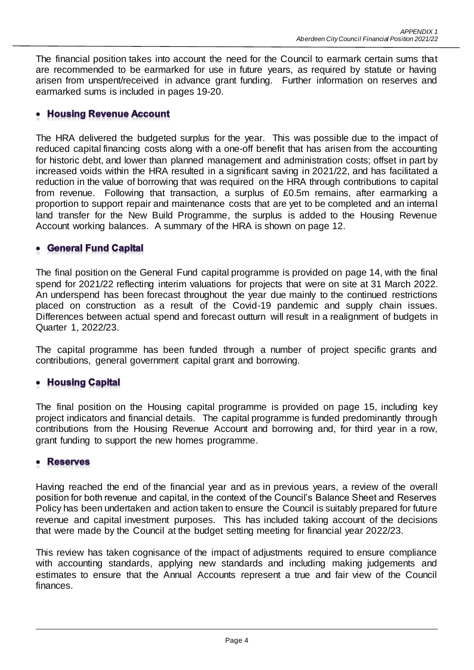The financial position takes into account the need for the Council to earmark certain sums that are recommended to be earmarked for use in future years, as required by statute or having arisen from unspent/received in advance grant funding. Further information on reserves and earmarked sums is included in pages 19-20.

# **Housing Revenue Account**

The HRA delivered the budgeted surplus for the year. This was possible due to the impact of reduced capital financing costs along with a one-off benefit that has arisen from the accounting for historic debt, and lower than planned management and administration costs; offset in part by increased voids within the HRA resulted in a significant saving in 2021/22, and has facilitated a reduction in the value of borrowing that was required on the HRA through contributions to capital from revenue. Following that transaction, a surplus of £0.5m remains, after earmarking a proportion to support repair and maintenance costs that are yet to be completed and an internal land transfer for the New Build Programme, the surplus is added to the Housing Revenue Account working balances. A summary of the HRA is shown on page 12.

# **General Fund Capital**

The final position on the General Fund capital programme is provided on page 14, with the final spend for 2021/22 reflecting interim valuations for projects that were on site at 31 March 2022. An underspend has been forecast throughout the year due mainly to the continued restrictions placed on construction as a result of the Covid-19 pandemic and supply chain issues. Differences between actual spend and forecast outturn will result in a realignment of budgets in Quarter 1, 2022/23.

The capital programme has been funded through a number of project specific grants and contributions, general government capital grant and borrowing.

# • Housing Capital

The final position on the Housing capital programme is provided on page 15, including key project indicators and financial details. The capital programme is funded predominantly through contributions from the Housing Revenue Account and borrowing and, for third year in a row, grant funding to support the new homes programme.

# **Reserves**

Having reached the end of the financial year and as in previous years, a review of the overall position for both revenue and capital, in the context of the Council's Balance Sheet and Reserves Policy has been undertaken and action taken to ensure the Council is suitably prepared for future revenue and capital investment purposes. This has included taking account of the decisions that were made by the Council at the budget setting meeting for financial year 2022/23.

This review has taken cognisance of the impact of adjustments required to ensure compliance with accounting standards, applying new standards and including making judgements and estimates to ensure that the Annual Accounts represent a true and fair view of the Council finances.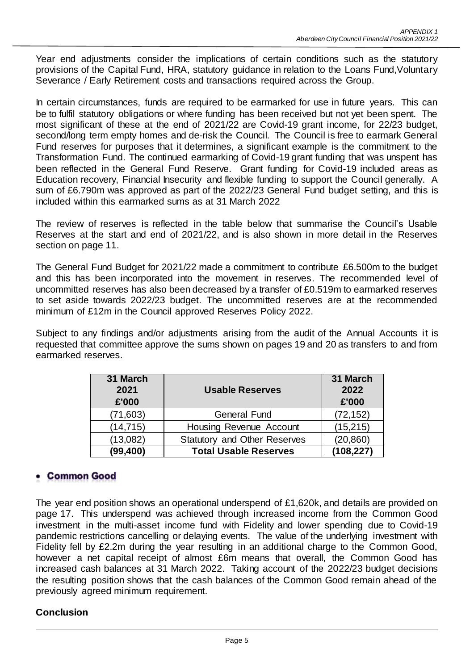Year end adjustments consider the implications of certain conditions such as the statutory provisions of the Capital Fund, HRA, statutory guidance in relation to the Loans Fund,Voluntary Severance / Early Retirement costs and transactions required across the Group.

In certain circumstances, funds are required to be earmarked for use in future years. This can be to fulfil statutory obligations or where funding has been received but not yet been spent. The most significant of these at the end of 2021/22 are Covid-19 grant income, for 22/23 budget, second/long term empty homes and de-risk the Council. The Council is free to earmark General Fund reserves for purposes that it determines, a significant example is the commitment to the Transformation Fund. The continued earmarking of Covid-19 grant funding that was unspent has been reflected in the General Fund Reserve. Grant funding for Covid-19 included areas as Education recovery, Financial Insecurity and flexible funding to support the Council generally. A sum of £6.790m was approved as part of the 2022/23 General Fund budget setting, and this is included within this earmarked sums as at 31 March 2022

The review of reserves is reflected in the table below that summarise the Council's Usable Reserves at the start and end of 2021/22, and is also shown in more detail in the Reserves section on page 11.

The General Fund Budget for 2021/22 made a commitment to contribute £6.500m to the budget and this has been incorporated into the movement in reserves. The recommended level of uncommitted reserves has also been decreased by a transfer of £0.519m to earmarked reserves to set aside towards 2022/23 budget. The uncommitted reserves are at the recommended minimum of £12m in the Council approved Reserves Policy 2022.

Subject to any findings and/or adjustments arising from the audit of the Annual Accounts it is requested that committee approve the sums shown on pages 19 and 20 as transfers to and from earmarked reserves.

| 31 March<br>2021<br>£'000 | <b>Usable Reserves</b>              | 31 March<br>2022<br>£'000 |
|---------------------------|-------------------------------------|---------------------------|
| (71, 603)                 | <b>General Fund</b>                 | (72, 152)                 |
| (14, 715)                 | Housing Revenue Account             | (15, 215)                 |
| (13,082)                  | <b>Statutory and Other Reserves</b> | (20, 860)                 |
| (99, 400)                 | <b>Total Usable Reserves</b>        | (108, 227)                |

# **Common Good**

The year end position shows an operational underspend of £1,620k, and details are provided on page 17. This underspend was achieved through increased income from the Common Good investment in the multi-asset income fund with Fidelity and lower spending due to Covid-19 pandemic restrictions cancelling or delaying events. The value of the underlying investment with Fidelity fell by £2.2m during the year resulting in an additional charge to the Common Good, however a net capital receipt of almost £6m means that overall, the Common Good has increased cash balances at 31 March 2022. Taking account of the 2022/23 budget decisions the resulting position shows that the cash balances of the Common Good remain ahead of the previously agreed minimum requirement.

# **Conclusion**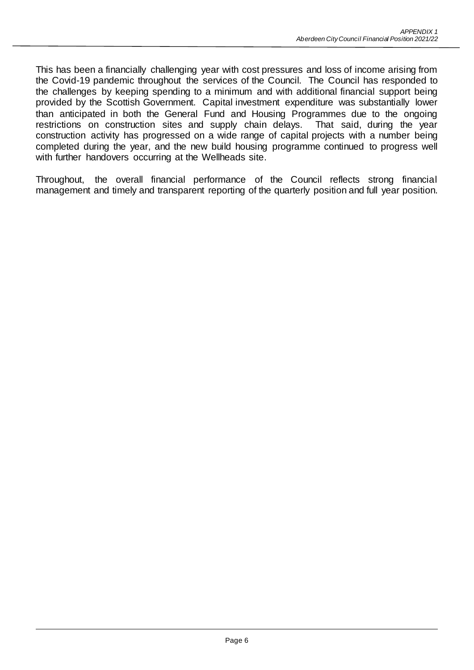This has been a financially challenging year with cost pressures and loss of income arising from the Covid-19 pandemic throughout the services of the Council. The Council has responded to the challenges by keeping spending to a minimum and with additional financial support being provided by the Scottish Government. Capital investment expenditure was substantially lower than anticipated in both the General Fund and Housing Programmes due to the ongoing restrictions on construction sites and supply chain delays. That said, during the year construction activity has progressed on a wide range of capital projects with a number being completed during the year, and the new build housing programme continued to progress well with further handovers occurring at the Wellheads site.

Throughout, the overall financial performance of the Council reflects strong financial management and timely and transparent reporting of the quarterly position and full year position.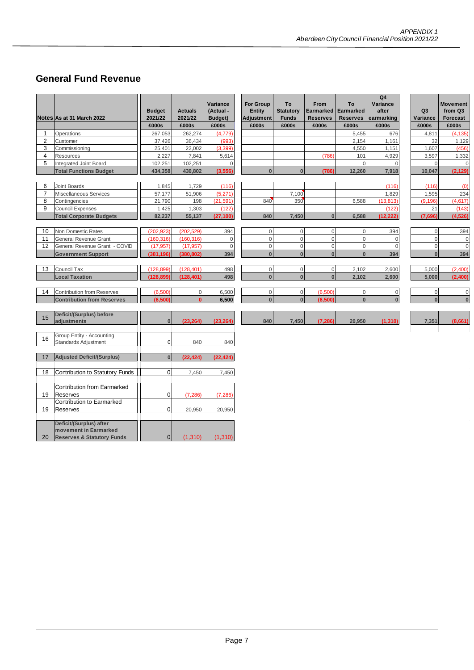# **General Fund Revenue**

|                |                                                                | <b>Budget</b> | <b>Actuals</b> | Variance<br>(Actual - | <b>For Group</b><br><b>Entity</b> | To<br><b>Statutory</b> | <b>From</b><br>Earmarked | To<br>Earmarked | Q4<br>Variance<br>after | Q <sub>3</sub> | <b>Movement</b><br>from Q3      |
|----------------|----------------------------------------------------------------|---------------|----------------|-----------------------|-----------------------------------|------------------------|--------------------------|-----------------|-------------------------|----------------|---------------------------------|
|                | Notes As at 31 March 2022                                      | 2021/22       | 2021/22        | Budget)               | <b>Adjustment</b>                 | <b>Funds</b>           | <b>Reserves</b>          | <b>Reserves</b> | earmarking              | Variance       | Forecast                        |
|                |                                                                | £000s         | £000s          | £000s                 | £000s                             | £000s                  | £000s                    | £000s           | £000s                   | £000s          | £000s                           |
| 1              | Operations                                                     | 267,053       | 262,274        | (4,779)               |                                   |                        |                          | 5,455           | 676                     | 4,811          | (4, 135)                        |
| 2              | Customer                                                       | 37,426        | 36,434         | (993)                 |                                   |                        |                          | 2,154           | 1,161                   |                | 32<br>1,129                     |
| 3              | Commissioning                                                  | 25,401        | 22,002         | (3, 399)              |                                   |                        |                          | 4,550           | 1,151                   | 1,607          | (456)                           |
| 4              | Resources                                                      | 2,227         | 7,841          | 5,614                 |                                   |                        | (786)                    | 101             | 4,929                   | 3,597          | 1,332                           |
| 5              | Integrated Joint Board                                         | 102,251       | 102,251        | $\mathbf{0}$          |                                   |                        |                          | $\mathbf{0}$    | $\Omega$                |                | $\mathsf{O}\xspace$<br>$\Omega$ |
|                | <b>Total Functions Budget</b>                                  | 434,358       | 430,802        | (3, 556)              | $\bf{0}$                          | $\bf{0}$               | (786)                    | 12,260          | 7,918                   | 10,047         | (2, 129)                        |
| 6              | <b>Joint Boards</b>                                            | 1,845         | 1,729          | (116)                 |                                   |                        |                          |                 | (116)                   | (116)          | (0)                             |
| $\overline{7}$ | Miscellaneous Services                                         | 57,177        | 51,906         | (5, 271)              |                                   | 7,100                  |                          |                 | 1,829                   | 1,595          | 234                             |
| 8              | Contingencies                                                  | 21,790        | 198            | (21, 591)             | 840                               | 350                    |                          | 6,588           | (13, 813)               | (9, 196)       | (4, 617)                        |
| 9              | <b>Council Expenses</b>                                        | 1,425         | 1,303          | (122)                 |                                   |                        |                          |                 | (122)                   |                | 21<br>(143)                     |
|                | <b>Total Corporate Budgets</b>                                 | 82,237        | 55,137         | (27, 100)             | 840                               | 7,450                  | $\pmb{0}$                | 6,588           | (12, 222)               | (7,696)        | (4, 526)                        |
|                |                                                                |               |                |                       |                                   |                        |                          |                 |                         |                |                                 |
| 10             | Non Domestic Rates                                             | (202, 923)    | (202, 529)     | 394                   | $\boldsymbol{0}$                  | $\mathbf{0}$           | $\mathbf 0$              | $\mathbf 0$     | 394                     |                | 394<br>$\Omega$                 |
| 11             | <b>General Revenue Grant</b>                                   | (160, 316)    | (160, 316)     | $\mathbf 0$           | $\mathbf 0$                       | $\mathbf{0}$           | $\mathbf 0$              | $\mathbf 0$     | $\Omega$                |                | $\Omega$<br>$\mathbf 0$         |
| 12             | General Revenue Grant - COVID                                  | (17, 957)     | (17, 957)      | $\mathbf{0}$          | $\mathbf 0$                       | $\overline{0}$         | $\boldsymbol{0}$         | $\mathbf 0$     | $\overline{0}$          |                | $\mathbf 0$<br>$\Omega$         |
|                | <b>Government Support</b>                                      | (381, 196)    | (380, 802)     | 394                   | $\bf{0}$                          | $\bf{0}$               | $\bf{0}$                 | $\bf{0}$        | 394                     |                | $\Omega$<br>394                 |
|                |                                                                |               |                |                       |                                   |                        |                          |                 |                         |                |                                 |
| 13             | Council Tax                                                    | (128, 899)    | (128, 401)     | 498                   | $\mathbf 0$                       | $\mathsf{O}\xspace$    | $\mathsf{O}\xspace$      | 2,102           | 2,600                   | 5,000          | (2,400)                         |
|                | <b>Local Taxation</b>                                          | (128, 899)    | (128, 401)     | 498                   | $\pmb{0}$                         | $\bf{0}$               | $\bf{0}$                 | 2,102           | 2,600                   | 5,000          | (2,400)                         |
|                |                                                                |               |                |                       |                                   |                        |                          |                 |                         |                |                                 |
| 14             | <b>Contribution from Reserves</b>                              | (6,500)       | $\mathbf 0$    | 6,500                 | $\boldsymbol{0}$                  | $\mathbf 0$            | (6,500)                  | $\mathbf 0$     | $\mathbf 0$             |                | $\mathbf 0$<br>$\Omega$         |
|                | <b>Contribution from Reserves</b>                              | (6,500)       | $\mathbf{0}$   | 6,500                 | $\pmb{0}$                         | $\mathbf{0}$           | (6, 500)                 | $\bf{0}$        | $\mathbf{0}$            |                | $\bf{0}$<br>$\Omega$            |
|                |                                                                |               |                |                       |                                   |                        |                          |                 |                         |                |                                 |
| 15             | Deficit/(Surplus) before                                       |               |                |                       |                                   |                        |                          |                 |                         |                |                                 |
|                | adjustments                                                    | $\bf{0}$      | (23, 264)      | (23, 264)             | 840                               | 7,450                  | (7, 286)                 | 20,950          | (1, 310)                | 7,351          | (8,661)                         |
|                | Group Entity - Accounting                                      |               |                |                       |                                   |                        |                          |                 |                         |                |                                 |
| 16             | <b>Standards Adjustment</b>                                    | 0             | 840            | 840                   |                                   |                        |                          |                 |                         |                |                                 |
|                |                                                                |               |                |                       |                                   |                        |                          |                 |                         |                |                                 |
| 17             | <b>Adjusted Deficit/(Surplus)</b>                              | $\bf{0}$      | (22, 424)      | (22, 424)             |                                   |                        |                          |                 |                         |                |                                 |
|                |                                                                |               |                |                       |                                   |                        |                          |                 |                         |                |                                 |
| 18             | Contribution to Statutory Funds                                | $\mathbf 0$   | 7,450          | 7,450                 |                                   |                        |                          |                 |                         |                |                                 |
|                |                                                                |               |                |                       |                                   |                        |                          |                 |                         |                |                                 |
|                | <b>Contribution from Earmarked</b>                             |               |                |                       |                                   |                        |                          |                 |                         |                |                                 |
| 19             | Reserves                                                       | 0             | (7, 286)       | (7, 286)              |                                   |                        |                          |                 |                         |                |                                 |
|                | Contribution to Earmarked                                      |               |                |                       |                                   |                        |                          |                 |                         |                |                                 |
| 19             | Reserves                                                       | 0             | 20,950         | 20,950                |                                   |                        |                          |                 |                         |                |                                 |
|                |                                                                |               |                |                       |                                   |                        |                          |                 |                         |                |                                 |
|                | Deficit/(Surplus) after                                        |               |                |                       |                                   |                        |                          |                 |                         |                |                                 |
|                | movement in Earmarked<br><b>Reserves &amp; Statutory Funds</b> |               |                | (1, 310)              |                                   |                        |                          |                 |                         |                |                                 |
| 20             |                                                                | $\mathbf 0$   | (1, 310)       |                       |                                   |                        |                          |                 |                         |                |                                 |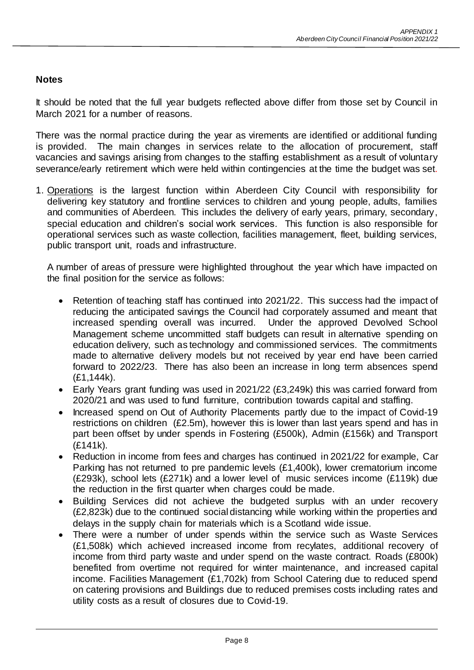## **Notes**

It should be noted that the full year budgets reflected above differ from those set by Council in March 2021 for a number of reasons.

There was the normal practice during the year as virements are identified or additional funding is provided. The main changes in services relate to the allocation of procurement, staff vacancies and savings arising from changes to the staffing establishment as a result of voluntary severance/early retirement which were held within contingencies at the time the budget was set.

1. Operations is the largest function within Aberdeen City Council with responsibility for delivering key statutory and frontline services to children and young people, adults, families and communities of Aberdeen. This includes the delivery of early years, primary, secondary, special education and children's social work services. This function is also responsible for operational services such as waste collection, facilities management, fleet, building services, public transport unit, roads and infrastructure.

A number of areas of pressure were highlighted throughout the year which have impacted on the final position for the service as follows:

- Retention of teaching staff has continued into 2021/22. This success had the impact of reducing the anticipated savings the Council had corporately assumed and meant that increased spending overall was incurred. Under the approved Devolved School Management scheme uncommitted staff budgets can result in alternative spending on education delivery, such as technology and commissioned services. The commitments made to alternative delivery models but not received by year end have been carried forward to 2022/23. There has also been an increase in long term absences spend (£1,144k).
- Early Years grant funding was used in 2021/22 (£3,249k) this was carried forward from 2020/21 and was used to fund furniture, contribution towards capital and staffing.
- Increased spend on Out of Authority Placements partly due to the impact of Covid-19 restrictions on children (£2.5m), however this is lower than last years spend and has in part been offset by under spends in Fostering (£500k), Admin (£156k) and Transport (£141k).
- Reduction in income from fees and charges has continued in 2021/22 for example, Car Parking has not returned to pre pandemic levels (£1,400k), lower crematorium income (£293k), school lets (£271k) and a lower level of music services income (£119k) due the reduction in the first quarter when charges could be made.
- Building Services did not achieve the budgeted surplus with an under recovery (£2,823k) due to the continued social distancing while working within the properties and delays in the supply chain for materials which is a Scotland wide issue.
- There were a number of under spends within the service such as Waste Services (£1,508k) which achieved increased income from recylates, additional recovery of income from third party waste and under spend on the waste contract. Roads (£800k) benefited from overtime not required for winter maintenance, and increased capital income. Facilities Management (£1,702k) from School Catering due to reduced spend on catering provisions and Buildings due to reduced premises costs including rates and utility costs as a result of closures due to Covid-19.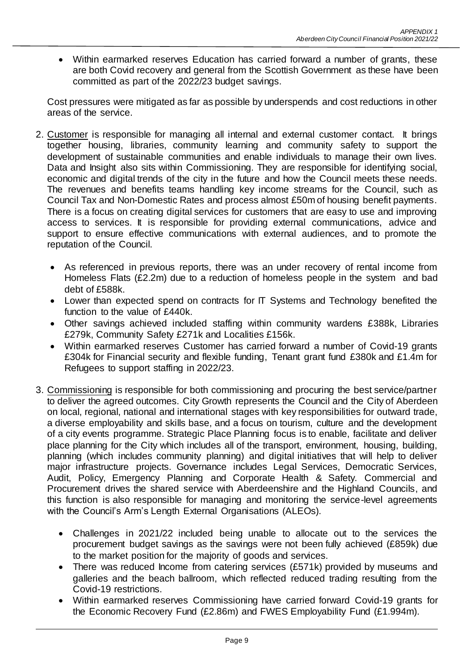Within earmarked reserves Education has carried forward a number of grants, these are both Covid recovery and general from the Scottish Government as these have been committed as part of the 2022/23 budget savings.

Cost pressures were mitigated as far as possible by underspends and cost reductions in other areas of the service.

- 2. Customer is responsible for managing all internal and external customer contact. It brings together housing, libraries, community learning and community safety to support the development of sustainable communities and enable individuals to manage their own lives. Data and Insight also sits within Commissioning. They are responsible for identifying social, economic and digital trends of the city in the future and how the Council meets these needs. The revenues and benefits teams handling key income streams for the Council, such as Council Tax and Non-Domestic Rates and process almost £50m of housing benefit payments. There is a focus on creating digital services for customers that are easy to use and improving access to services. It is responsible for providing external communications, advice and support to ensure effective communications with external audiences, and to promote the reputation of the Council.
	- As referenced in previous reports, there was an under recovery of rental income from Homeless Flats (£2.2m) due to a reduction of homeless people in the system and bad debt of £588k.
	- Lower than expected spend on contracts for IT Systems and Technology benefited the function to the value of £440k.
	- Other savings achieved included staffing within community wardens £388k, Libraries £279k, Community Safety £271k and Localities £156k.
	- Within earmarked reserves Customer has carried forward a number of Covid-19 grants £304k for Financial security and flexible funding, Tenant grant fund £380k and £1.4m for Refugees to support staffing in 2022/23.
- 3. Commissioning is responsible for both commissioning and procuring the best service/partner to deliver the agreed outcomes. City Growth represents the Council and the City of Aberdeen on local, regional, national and international stages with key responsibilities for outward trade, a diverse employability and skills base, and a focus on tourism, culture and the development of a city events programme. Strategic Place Planning focus is to enable, facilitate and deliver place planning for the City which includes all of the transport, environment, housing, building, planning (which includes community planning) and digital initiatives that will help to deliver major infrastructure projects. Governance includes Legal Services, Democratic Services, Audit, Policy, Emergency Planning and Corporate Health & Safety. Commercial and Procurement drives the shared service with Aberdeenshire and the Highland Councils, and this function is also responsible for managing and monitoring the service-level agreements with the Council's Arm's Length External Organisations (ALEOs).
	- Challenges in 2021/22 included being unable to allocate out to the services the procurement budget savings as the savings were not been fully achieved (£859k) due to the market position for the majority of goods and services.
	- There was reduced Income from catering services (£571k) provided by museums and galleries and the beach ballroom, which reflected reduced trading resulting from the Covid-19 restrictions.
	- Within earmarked reserves Commissioning have carried forward Covid-19 grants for the Economic Recovery Fund (£2.86m) and FWES Employability Fund (£1.994m).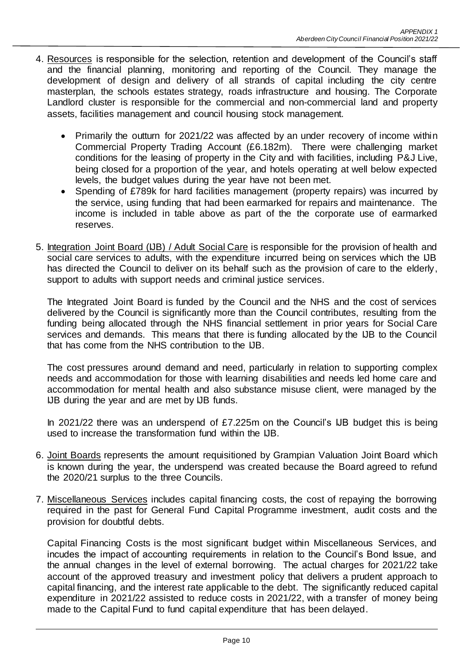- 4. Resources is responsible for the selection, retention and development of the Council's staff and the financial planning, monitoring and reporting of the Council. They manage the development of design and delivery of all strands of capital including the city centre masterplan, the schools estates strategy, roads infrastructure and housing. The Corporate Landlord cluster is responsible for the commercial and non-commercial land and property assets, facilities management and council housing stock management.
	- Primarily the outturn for 2021/22 was affected by an under recovery of income within Commercial Property Trading Account (£6.182m). There were challenging market conditions for the leasing of property in the City and with facilities, including P&J Live, being closed for a proportion of the year, and hotels operating at well below expected levels, the budget values during the year have not been met.
	- Spending of £789k for hard facilities management (property repairs) was incurred by the service, using funding that had been earmarked for repairs and maintenance. The income is included in table above as part of the the corporate use of earmarked reserves.
- 5. Integration Joint Board (IJB) / Adult Social Care is responsible for the provision of health and social care services to adults, with the expenditure incurred being on services which the UB has directed the Council to deliver on its behalf such as the provision of care to the elderly, support to adults with support needs and criminal justice services.

The Integrated Joint Board is funded by the Council and the NHS and the cost of services delivered by the Council is significantly more than the Council contributes, resulting from the funding being allocated through the NHS financial settlement in prior years for Social Care services and demands. This means that there is funding allocated by the IJB to the Council that has come from the NHS contribution to the IJB.

The cost pressures around demand and need, particularly in relation to supporting complex needs and accommodation for those with learning disabilities and needs led home care and accommodation for mental health and also substance misuse client, were managed by the IJB during the year and are met by IJB funds.

In 2021/22 there was an underspend of £7.225m on the Council's IJB budget this is being used to increase the transformation fund within the IJB.

- 6. Joint Boards represents the amount requisitioned by Grampian Valuation Joint Board which is known during the year, the underspend was created because the Board agreed to refund the 2020/21 surplus to the three Councils.
- 7. Miscellaneous Services includes capital financing costs, the cost of repaying the borrowing required in the past for General Fund Capital Programme investment, audit costs and the provision for doubtful debts.

Capital Financing Costs is the most significant budget within Miscellaneous Services, and incudes the impact of accounting requirements in relation to the Council's Bond Issue, and the annual changes in the level of external borrowing. The actual charges for 2021/22 take account of the approved treasury and investment policy that delivers a prudent approach to capital financing, and the interest rate applicable to the debt. The significantly reduced capital expenditure in 2021/22 assisted to reduce costs in 2021/22, with a transfer of money being made to the Capital Fund to fund capital expenditure that has been delayed.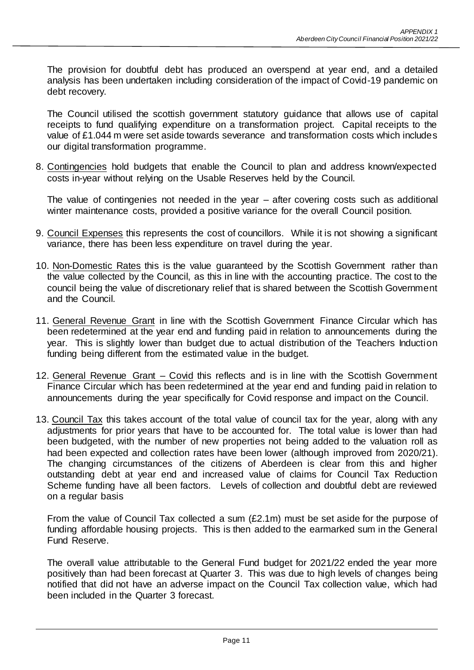The provision for doubtful debt has produced an overspend at year end, and a detailed analysis has been undertaken including consideration of the impact of Covid-19 pandemic on debt recovery.

The Council utilised the scottish government statutory guidance that allows use of capital receipts to fund qualifying expenditure on a transformation project. Capital receipts to the value of £1.044 m were set aside towards severance and transformation costs which includes our digital transformation programme.

8. Contingencies hold budgets that enable the Council to plan and address known/expected costs in-year without relying on the Usable Reserves held by the Council.

The value of contingenies not needed in the year – after covering costs such as additional winter maintenance costs, provided a positive variance for the overall Council position.

- 9. Council Expenses this represents the cost of councillors. While it is not showing a significant variance, there has been less expenditure on travel during the year.
- 10. Non-Domestic Rates this is the value guaranteed by the Scottish Government rather than the value collected by the Council, as this in line with the accounting practice. The cost to the council being the value of discretionary relief that is shared between the Scottish Government and the Council.
- 11. General Revenue Grant in line with the Scottish Government Finance Circular which has been redetermined at the year end and funding paid in relation to announcements during the year. This is slightly lower than budget due to actual distribution of the Teachers Induction funding being different from the estimated value in the budget.
- 12. General Revenue Grant Covid this reflects and is in line with the Scottish Government Finance Circular which has been redetermined at the year end and funding paid in relation to announcements during the year specifically for Covid response and impact on the Council.
- 13. Council Tax this takes account of the total value of council tax for the year, along with any adjustments for prior years that have to be accounted for. The total value is lower than had been budgeted, with the number of new properties not being added to the valuation roll as had been expected and collection rates have been lower (although improved from 2020/21). The changing circumstances of the citizens of Aberdeen is clear from this and higher outstanding debt at year end and increased value of claims for Council Tax Reduction Scheme funding have all been factors. Levels of collection and doubtful debt are reviewed on a regular basis

From the value of Council Tax collected a sum (£2.1m) must be set aside for the purpose of funding affordable housing projects. This is then added to the earmarked sum in the General Fund Reserve.

The overall value attributable to the General Fund budget for 2021/22 ended the year more positively than had been forecast at Quarter 3. This was due to high levels of changes being notified that did not have an adverse impact on the Council Tax collection value, which had been included in the Quarter 3 forecast.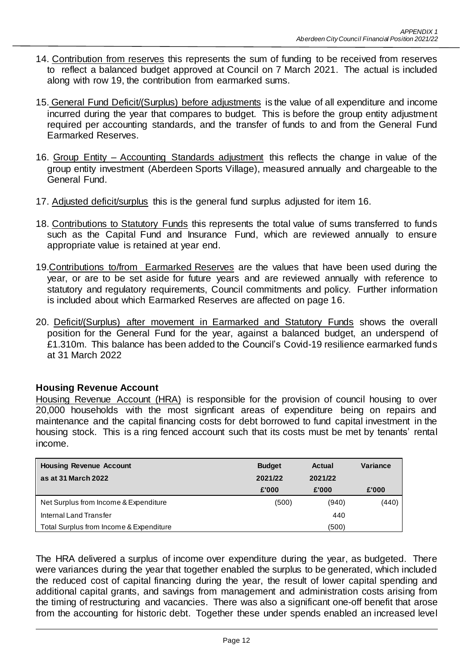- 14. Contribution from reserves this represents the sum of funding to be received from reserves to reflect a balanced budget approved at Council on 7 March 2021. The actual is included along with row 19, the contribution from earmarked sums.
- 15. General Fund Deficit/(Surplus) before adjustments is the value of all expenditure and income incurred during the year that compares to budget. This is before the group entity adjustment required per accounting standards, and the transfer of funds to and from the General Fund Earmarked Reserves.
- 16. Group Entity Accounting Standards adjustment this reflects the change in value of the group entity investment (Aberdeen Sports Village), measured annually and chargeable to the General Fund.
- 17. Adjusted deficit/surplus this is the general fund surplus adjusted for item 16.
- 18. Contributions to Statutory Funds this represents the total value of sums transferred to funds such as the Capital Fund and Insurance Fund, which are reviewed annually to ensure appropriate value is retained at year end.
- 19. Contributions to/from Earmarked Reserves are the values that have been used during the year, or are to be set aside for future years and are reviewed annually with reference to statutory and regulatory requirements, Council commitments and policy. Further information is included about which Earmarked Reserves are affected on page 16.
- 20. Deficit/(Surplus) after movement in Earmarked and Statutory Funds shows the overall position for the General Fund for the year, against a balanced budget, an underspend of £1.310m. This balance has been added to the Council's Covid-19 resilience earmarked funds at 31 March 2022

#### **Housing Revenue Account**

Housing Revenue Account (HRA) is responsible for the provision of council housing to over 20,000 households with the most signficant areas of expenditure being on repairs and maintenance and the capital financing costs for debt borrowed to fund capital investment in the housing stock. This is a ring fenced account such that its costs must be met by tenants' rental income.

| <b>Housing Revenue Account</b>          | <b>Budget</b> | Actual  | Variance |
|-----------------------------------------|---------------|---------|----------|
| as at 31 March 2022                     | 2021/22       | 2021/22 |          |
|                                         | £'000         | £'000   | £'000    |
| Net Surplus from Income & Expenditure   | (500)         | (940)   | (440)    |
| Internal Land Transfer                  |               | 440     |          |
| Total Surplus from Income & Expenditure |               | (500)   |          |

The HRA delivered a surplus of income over expenditure during the year, as budgeted. There were variances during the year that together enabled the surplus to be generated, which included the reduced cost of capital financing during the year, the result of lower capital spending and additional capital grants, and savings from management and administration costs arising from the timing of restructuring and vacancies. There was also a significant one-off benefit that arose from the accounting for historic debt. Together these under spends enabled an increased level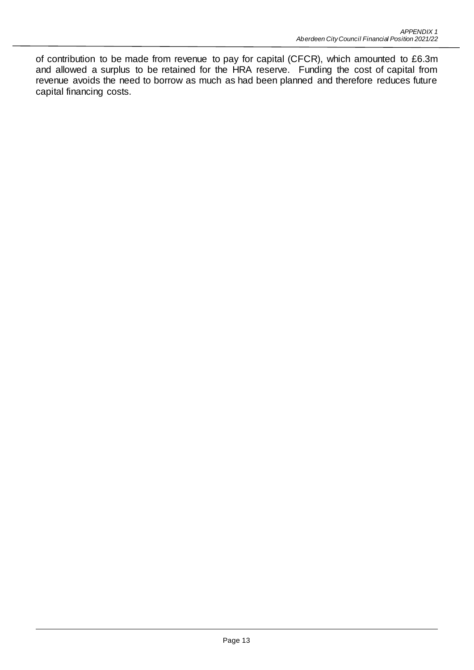of contribution to be made from revenue to pay for capital (CFCR), which amounted to £6.3m and allowed a surplus to be retained for the HRA reserve. Funding the cost of capital from revenue avoids the need to borrow as much as had been planned and therefore reduces future capital financing costs.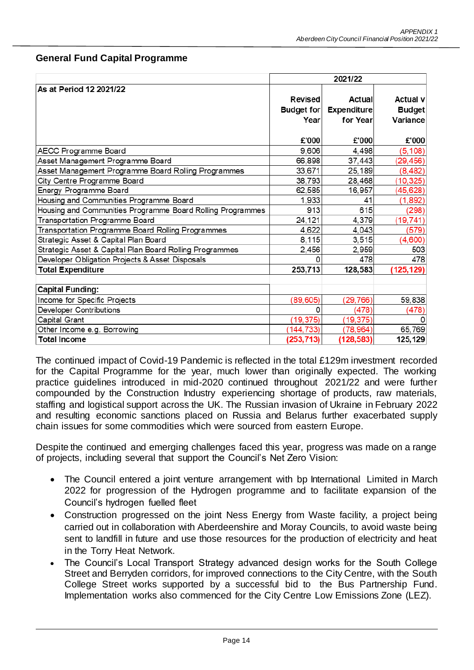|                                                            | 2021/22           |                    |                 |  |
|------------------------------------------------------------|-------------------|--------------------|-----------------|--|
| As at Period 12 2021/22                                    |                   |                    |                 |  |
|                                                            | <b>Revised</b>    | Actual             | <b>Actual v</b> |  |
|                                                            | <b>Budget for</b> | <b>Expenditure</b> | <b>Budget</b>   |  |
|                                                            | Year              | for Year           | Variance        |  |
|                                                            |                   |                    |                 |  |
|                                                            | £'000             | £'000              | £'000           |  |
| <b>AECC Programme Board</b>                                | 9,606             | 4,498              | (5, 108)        |  |
| Asset Management Programme Board                           | 66,898            | 37,443             | (29, 456)       |  |
| Asset Management Programme Board Rolling Programmes        | 33,671            | 25,189             | (8, 482)        |  |
| City Centre Programme Board                                | 38,793            | 28,468             | (10, 325)       |  |
| Energy Programme Board                                     | 62,585            | 16,957             | (45,628)        |  |
| Housing and Communities Programme Board                    | 1,933             | 41                 | (1, 892)        |  |
| Housing and Communities Programme Board Rolling Programmes | 913               | 615                | (298)           |  |
| Transportation Programme Board                             | 24,121            | 4,379              | (19, 741)       |  |
| Transportation Programme Board Rolling Programmes          | 4,622             | 4,043              | (579)           |  |
| Strategic Asset & Capital Plan Board                       | 8,115             | 3,515              | (4,600)         |  |
| Strategic Asset & Capital Plan Board Rolling Programmes    | 2,456             | 2,959              | 503             |  |
| Developer Obligation Projects & Asset Disposals            |                   | 478                | 478             |  |
| <b>Total Expenditure</b>                                   | 253,713           | 128,583            | (125, 129)      |  |
| <b>Capital Funding:</b>                                    |                   |                    |                 |  |
| Income for Specific Projects                               | (89, 605)         | (29, 766)          | 59,838          |  |
| <b>Developer Contributions</b>                             |                   | (478)              | (478)           |  |
| Capital Grant                                              | (19, 375)         | (19, 375)          |                 |  |
| Other Income e.g. Borrowing                                | (144, 733)        | (78, 964)          | 65,769          |  |
| <b>Total Income</b>                                        | (253, 713)        | (128, 583)         | 125,129         |  |

## **General Fund Capital Programme**

The continued impact of Covid-19 Pandemic is reflected in the total £129m investment recorded for the Capital Programme for the year, much lower than originally expected. The working practice guidelines introduced in mid-2020 continued throughout 2021/22 and were further compounded by the Construction Industry experiencing shortage of products, raw materials, staffing and logistical support across the UK. The Russian invasion of Ukraine in February 2022 and resulting economic sanctions placed on Russia and Belarus further exacerbated supply chain issues for some commodities which were sourced from eastern Europe.

Despite the continued and emerging challenges faced this year, progress was made on a range of projects, including several that support the Council's Net Zero Vision:

- The Council entered a joint venture arrangement with bp International Limited in March 2022 for progression of the Hydrogen programme and to facilitate expansion of the Council's hydrogen fuelled fleet
- Construction progressed on the joint Ness Energy from Waste facility, a project being carried out in collaboration with Aberdeenshire and Moray Councils, to avoid waste being sent to landfill in future and use those resources for the production of electricity and heat in the Torry Heat Network.
- The Council's Local Transport Strategy advanced design works for the South College Street and Berryden corridors, for improved connections to the City Centre, with the South College Street works supported by a successful bid to the Bus Partnership Fund. Implementation works also commenced for the City Centre Low Emissions Zone (LEZ).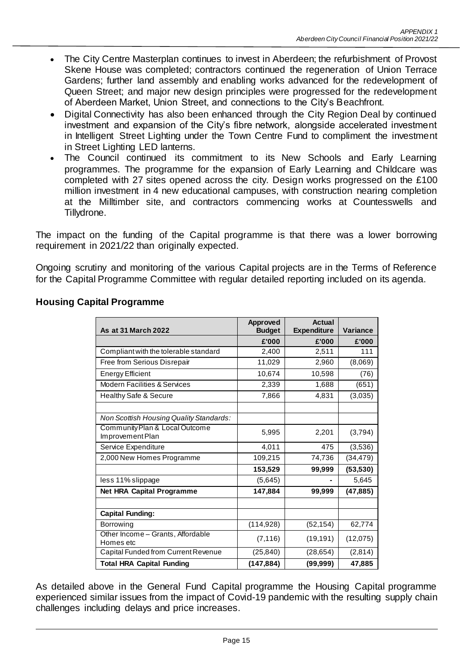- The City Centre Masterplan continues to invest in Aberdeen; the refurbishment of Provost Skene House was completed; contractors continued the regeneration of Union Terrace Gardens; further land assembly and enabling works advanced for the redevelopment of Queen Street; and major new design principles were progressed for the redevelopment of Aberdeen Market, Union Street, and connections to the City's Beachfront.
- Digital Connectivity has also been enhanced through the City Region Deal by continued investment and expansion of the City's fibre network, alongside accelerated investment in Intelligent Street Lighting under the Town Centre Fund to compliment the investment in Street Lighting LED lanterns.
- The Council continued its commitment to its New Schools and Early Learning programmes. The programme for the expansion of Early Learning and Childcare was completed with 27 sites opened across the city. Design works progressed on the £100 million investment in 4 new educational campuses, with construction nearing completion at the Milltimber site, and contractors commencing works at Countesswells and Tillydrone.

The impact on the funding of the Capital programme is that there was a lower borrowing requirement in 2021/22 than originally expected.

Ongoing scrutiny and monitoring of the various Capital projects are in the Terms of Reference for the Capital Programme Committee with regular detailed reporting included on its agenda.

| <b>As at 31 March 2022</b>                         | Approved<br><b>Budget</b> | Actual<br><b>Expenditure</b> | <b>Variance</b> |
|----------------------------------------------------|---------------------------|------------------------------|-----------------|
|                                                    | £'000                     | £'000                        | £'000           |
| Compliant with the tolerable standard              | 2,400                     | 2,511                        | 111             |
| Free from Serious Disrepair                        | 11,029                    | 2,960                        | (8,069)         |
| <b>Energy Efficient</b>                            | 10,674                    | 10,598                       | (76)            |
| <b>Modern Facilities &amp; Services</b>            | 2,339                     | 1,688                        | (651)           |
| <b>Healthy Safe &amp; Secure</b>                   | 7,866                     | 4,831                        | (3,035)         |
|                                                    |                           |                              |                 |
| Non Scottish Housing Quality Standards:            |                           |                              |                 |
| Community Plan & Local Outcome<br>Improvement Plan | 5,995                     | 2,201                        | (3,794)         |
| Service Expenditure                                | 4,011                     | 475                          | (3,536)         |
| 2,000 New Homes Programme                          | 109,215                   | 74,736                       | (34, 479)       |
|                                                    | 153,529                   | 99,999                       | (53, 530)       |
| less 11% slippage                                  | (5,645)                   |                              | 5,645           |
| <b>Net HRA Capital Programme</b>                   | 147,884                   | 99,999                       | (47, 885)       |
|                                                    |                           |                              |                 |
| <b>Capital Funding:</b>                            |                           |                              |                 |
| <b>Borrowing</b>                                   | (114, 928)                | (52, 154)                    | 62,774          |
| Other Income - Grants, Affordable<br>Homes etc     | (7, 116)                  | (19, 191)                    | (12,075)        |
| Capital Funded from Current Revenue                | (25, 840)                 | (28, 654)                    | (2,814)         |
| <b>Total HRA Capital Funding</b>                   | (147, 884)                | (99, 999)                    | 47,885          |

## **Housing Capital Programme**

As detailed above in the General Fund Capital programme the Housing Capital programme experienced similar issues from the impact of Covid-19 pandemic with the resulting supply chain challenges including delays and price increases.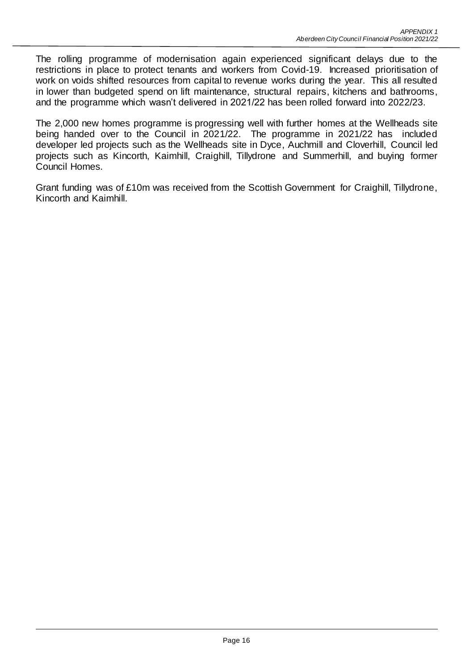The rolling programme of modernisation again experienced significant delays due to the restrictions in place to protect tenants and workers from Covid-19. Increased prioritisation of work on voids shifted resources from capital to revenue works during the year. This all resulted in lower than budgeted spend on lift maintenance, structural repairs, kitchens and bathrooms, and the programme which wasn't delivered in 2021/22 has been rolled forward into 2022/23.

The 2,000 new homes programme is progressing well with further homes at the Wellheads site being handed over to the Council in 2021/22. The programme in 2021/22 has included developer led projects such as the Wellheads site in Dyce, Auchmill and Cloverhill, Council led projects such as Kincorth, Kaimhill, Craighill, Tillydrone and Summerhill, and buying former Council Homes.

Grant funding was of £10m was received from the Scottish Government for Craighill, Tillydrone, Kincorth and Kaimhill.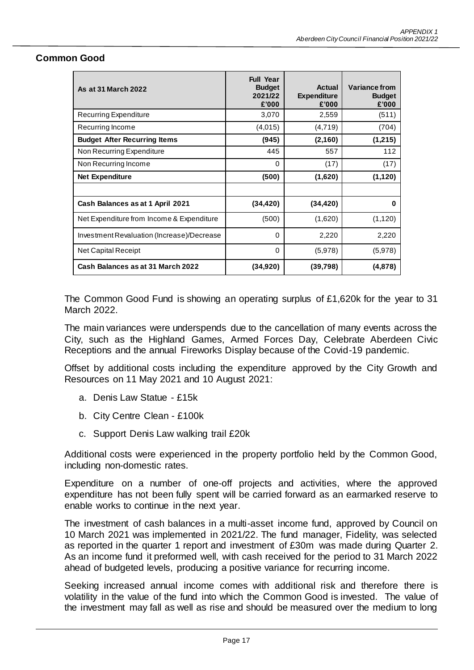| <b>As at 31 March 2022</b>                 | <b>Full Year</b><br><b>Budget</b><br>2021/22<br>£'000 | Actual<br><b>Expenditure</b><br>£'000 | Variance from<br><b>Budget</b><br>£'000 |
|--------------------------------------------|-------------------------------------------------------|---------------------------------------|-----------------------------------------|
| Recurring Expenditure                      | 3,070                                                 | 2,559                                 | (511)                                   |
| Recurring Income                           | (4,015)                                               | (4,719)                               | (704)                                   |
| <b>Budget After Recurring Items</b>        | (945)                                                 | (2, 160)                              | (1,215)                                 |
| Non Recurring Expenditure                  | 445                                                   | 557                                   | 112                                     |
| Non Recurring Income                       | $\Omega$                                              | (17)                                  | (17)                                    |
| <b>Net Expenditure</b>                     | (500)                                                 | (1,620)                               | (1, 120)                                |
|                                            |                                                       |                                       |                                         |
| Cash Balances as at 1 April 2021           | (34, 420)                                             | (34, 420)                             | 0                                       |
| Net Expenditure from Income & Expenditure  | (500)                                                 | (1,620)                               | (1, 120)                                |
| Investment Revaluation (Increase)/Decrease | 0                                                     | 2,220                                 | 2,220                                   |
| <b>Net Capital Receipt</b>                 | 0                                                     | (5,978)                               | (5,978)                                 |
| Cash Balances as at 31 March 2022          | (34,920)                                              | (39,798)                              | (4,878)                                 |

#### **Common Good**

The Common Good Fund is showing an operating surplus of £1,620k for the year to 31 March 2022.

The main variances were underspends due to the cancellation of many events across the City, such as the Highland Games, Armed Forces Day, Celebrate Aberdeen Civic Receptions and the annual Fireworks Display because of the Covid-19 pandemic.

Offset by additional costs including the expenditure approved by the City Growth and Resources on 11 May 2021 and 10 August 2021:

- a. Denis Law Statue £15k
- b. City Centre Clean £100k
- c. Support Denis Law walking trail £20k

Additional costs were experienced in the property portfolio held by the Common Good, including non-domestic rates.

Expenditure on a number of one-off projects and activities, where the approved expenditure has not been fully spent will be carried forward as an earmarked reserve to enable works to continue in the next year.

The investment of cash balances in a multi-asset income fund, approved by Council on 10 March 2021 was implemented in 2021/22. The fund manager, Fidelity, was selected as reported in the quarter 1 report and investment of £30m was made during Quarter 2. As an income fund it preformed well, with cash received for the period to 31 March 2022 ahead of budgeted levels, producing a positive variance for recurring income.

Seeking increased annual income comes with additional risk and therefore there is volatility in the value of the fund into which the Common Good is invested. The value of the investment may fall as well as rise and should be measured over the medium to long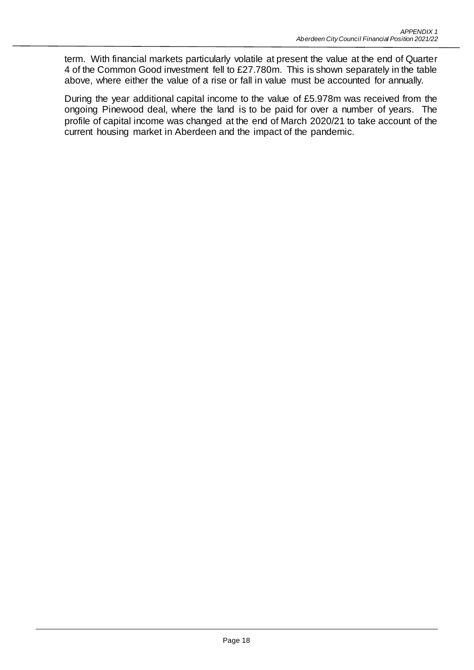term. With financial markets particularly volatile at present the value at the end of Quarter 4 of the Common Good investment fell to £27.780m. This is shown separately in the table above, where either the value of a rise or fall in value must be accounted for annually.

During the year additional capital income to the value of £5.978m was received from the ongoing Pinewood deal, where the land is to be paid for over a number of years. The profile of capital income was changed at the end of March 2020/21 to take account of the current housing market in Aberdeen and the impact of the pandemic.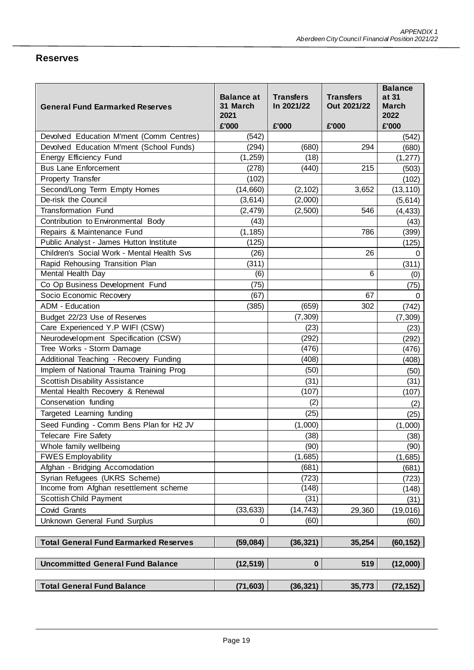# **Reserves**

| <b>General Fund Earmarked Reserves</b>       | <b>Balance at</b><br>31 March<br>2021<br>£'000 | <b>Transfers</b><br>In 2021/22<br>£'000 | <b>Transfers</b><br>Out 2021/22<br>£'000 | <b>Balance</b><br>at 31<br><b>March</b><br>2022<br>£'000 |
|----------------------------------------------|------------------------------------------------|-----------------------------------------|------------------------------------------|----------------------------------------------------------|
| Devolved Education M'ment (Comm Centres)     | (542)                                          |                                         |                                          | (542)                                                    |
| Devolved Education M'ment (School Funds)     | (294)                                          | (680)                                   | 294                                      | (680)                                                    |
| Energy Efficiency Fund                       | (1,259)                                        | (18)                                    |                                          | (1, 277)                                                 |
| <b>Bus Lane Enforcement</b>                  | (278)                                          | (440)                                   | 215                                      | (503)                                                    |
| Property Transfer                            | (102)                                          |                                         |                                          | (102)                                                    |
| Second/Long Term Empty Homes                 | (14,660)                                       | (2, 102)                                | 3,652                                    | (13, 110)                                                |
| De-risk the Council                          | (3,614)                                        | (2,000)                                 |                                          | (5,614)                                                  |
| <b>Transformation Fund</b>                   | (2, 479)                                       | (2,500)                                 | 546                                      | (4, 433)                                                 |
| Contribution to Environmental Body           | (43)                                           |                                         |                                          | (43)                                                     |
| Repairs & Maintenance Fund                   | (1, 185)                                       |                                         | 786                                      | (399)                                                    |
| Public Analyst - James Hutton Institute      | (125)                                          |                                         |                                          | (125)                                                    |
| Children's Social Work - Mental Health Svs   | (26)                                           |                                         | 26                                       | 0                                                        |
| Rapid Rehousing Transition Plan              | (311)                                          |                                         |                                          | (311)                                                    |
| Mental Health Day                            | (6)                                            |                                         | 6                                        | (0)                                                      |
| Co Op Business Development Fund              | (75)                                           |                                         |                                          | (75)                                                     |
| Socio Economic Recovery                      | (67)                                           |                                         | 67                                       | 0                                                        |
| <b>ADM - Education</b>                       | (385)                                          | (659)                                   | 302                                      | (742)                                                    |
| Budget 22/23 Use of Reserves                 |                                                | (7, 309)                                |                                          | (7, 309)                                                 |
| Care Experienced Y.P WIFI (CSW)              |                                                | (23)                                    |                                          | (23)                                                     |
| Neurodevelopment Specification (CSW)         |                                                | (292)                                   |                                          | (292)                                                    |
| Tree Works - Storm Damage                    |                                                | (476)                                   |                                          | (476)                                                    |
| Additional Teaching - Recovery Funding       |                                                | (408)                                   |                                          | (408)                                                    |
| Implem of National Trauma Training Prog      |                                                | (50)                                    |                                          | (50)                                                     |
| <b>Scottish Disability Assistance</b>        |                                                | (31)                                    |                                          | (31)                                                     |
| Mental Health Recovery & Renewal             |                                                | (107)                                   |                                          | (107)                                                    |
| Conservation funding                         |                                                | (2)                                     |                                          | (2)                                                      |
| Targeted Learning funding                    |                                                | (25)                                    |                                          | (25)                                                     |
| Seed Funding - Comm Bens Plan for H2 JV      |                                                | (1,000)                                 |                                          | (1,000)                                                  |
| Telecare Fire Safety                         |                                                | (38)                                    |                                          | (38)                                                     |
| Whole family wellbeing                       |                                                | (90)                                    |                                          | (90)                                                     |
| <b>FWES Employability</b>                    |                                                | (1,685)                                 |                                          | (1,685)                                                  |
| Afghan - Bridging Accomodation               |                                                | (681)                                   |                                          | (681)                                                    |
| Syrian Refugees (UKRS Scheme)                |                                                | (723)                                   |                                          | (723)                                                    |
| Income from Afghan resettlement scheme       |                                                | (148)                                   |                                          | (148)                                                    |
| Scottish Child Payment                       |                                                | (31)                                    |                                          | (31)                                                     |
| Covid Grants                                 | (33, 633)                                      | (14, 743)                               | 29,360                                   | (19,016)                                                 |
| Unknown General Fund Surplus                 | 0                                              | (60)                                    |                                          | (60)                                                     |
| <b>Total General Fund Earmarked Reserves</b> | (59,084)                                       | (36, 321)                               | 35,254                                   | (60, 152)                                                |
| <b>Uncommitted General Fund Balance</b>      | (12, 519)                                      | $\mathbf 0$                             | 519                                      | (12,000)                                                 |
| <b>Total General Fund Balance</b>            | (71, 603)                                      | (36, 321)                               | 35,773                                   | (72, 152)                                                |